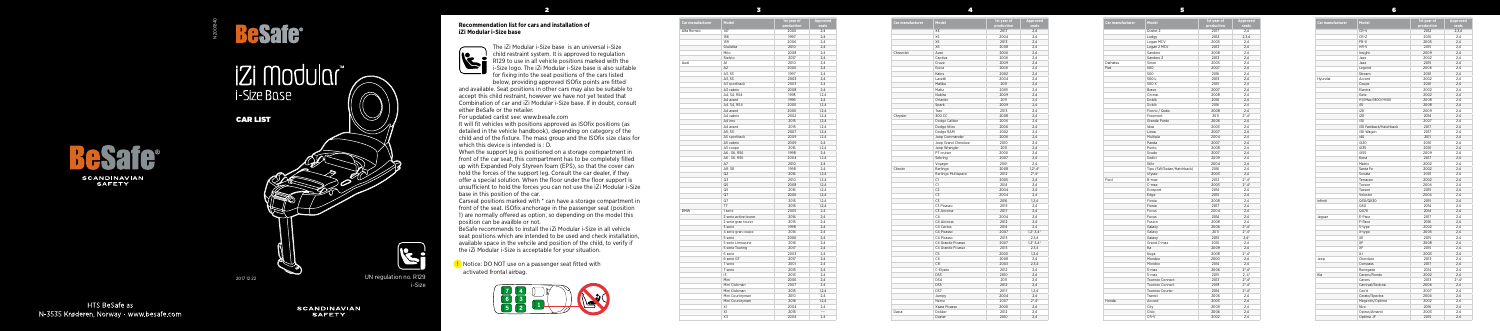



## **iZi Modular** i-Size Base

2

3

4

5

6

## **Recommendation list for cars and installation of iZi Modular i-Size base**



The iZi Modular i-Size base is an universal i-Size child restraint system. It is approved to regulation R129 to use in all vehicle positions marked with the i-Size logo. The iZi Modular i-Size base is also suitable for fixing into the seat positions of the cars listed

below, providing approved ISOfix points are fitted and available. Seat positions in other cars may also be suitable to accept this child restraint, however we have not yet tested that Combination of car and iZi Modular i-Size base. If in doubt, consult either BeSafe or the retailer.

For updated carlist see: www.besafe.com

It will fit vehicles with positions approved as ISOfix positions (as detailed in the vehicle handbook), depending on category of the child and of the fixture. The mass group and the ISOfix size class for which this device is intended is : D.

When the support leg is positioned on a storage compartment in front of the car seat, this compartment has to be completely filled up with Expanded Poly Styreen foam (EPS), so that the cover can hold the forces of the support leg. Consult the car dealer, if they offer a special solution. When the floor under the floor support is unsufficient to hold the forces you can not use the iZi Modular i-Size base in this position of the car.

Carseat positions marked with \* can have a storage compartment in front of the seat. ISOfix anchorage in the passenger seat (position 1) are normally offered as option, so depending on the model this position can be availble or not.

BeSafe recommends to install the iZi Modular i-Size in all vehicle seat positions which are intended to be used and check installation, available space in the vehcile and position of the child, to verify if the iZi Modular i-Size is acceptable for your situation.

| Car manufacturer | Model               | 1st year of<br>production | Approved<br>seats      |
|------------------|---------------------|---------------------------|------------------------|
|                  | X3                  | 2017                      | 2.4                    |
|                  | X5                  | 2004                      | 2,4                    |
|                  | X5                  | 2013                      | 2,4                    |
|                  | Х6                  | 2008                      | 2,4                    |
| Chrevolet        | Aveo                | 2006                      | 2,4                    |
|                  | Captiva             | 2006                      | 2,4                    |
|                  | Cruze               | 2009                      | 2,4                    |
|                  | Epica               | 2006                      | 2,4                    |
|                  | Kalos               | 2002                      | 2,4                    |
|                  | Lacetti             | 2004                      | 2,4                    |
|                  | Malibu              | 2011                      | 2.4                    |
|                  | Matiz               | 2005                      | 2,4                    |
|                  | Nubira              | 2009                      | 2,4                    |
|                  | Orlando             | 2011                      | 2,4                    |
|                  | Spark               | 2009                      | 2.4                    |
|                  | Trax                | 2013                      | 2.4                    |
| Chrysler         | 300 CC              | 2008                      | 2,4                    |
|                  | Dodge Caliber       | 2006                      | 2,4                    |
|                  | Dodge Nitro         | 2006                      | 2,4                    |
|                  | Dodge RAM           | 2002                      | 2,4                    |
|                  | Jeep Commander      | 2006                      | 2,4                    |
|                  | Jeep Grand Cherokee | 2010                      | 2,4                    |
|                  | Jeep Wrangler       | 2011                      | 2,4                    |
|                  | PT cruiser          | 2000                      | 2,4                    |
|                  | Sebring             | 2007                      | 2,4                    |
|                  | Voyager             | 2001                      | 2,4                    |
| Citroën          | Berlingo            | 2008                      | $1,2^*$ , 4*           |
|                  | Berlingo Multispace | 2012                      | $2^*$ , $4^*$          |
|                  | C1                  | 2005                      | 2,4                    |
|                  | C1                  | 2014                      | 2,4                    |
|                  | C <sub>2</sub>      | 2004                      | 2,4                    |
|                  | C3                  | 2004                      | 2,4                    |
|                  | C3                  | 2016                      | 1,2,4                  |
|                  | C3 Picasso          | 2013                      | 2.4                    |
|                  | C3 Aircross         | 2017                      | 2,4                    |
|                  | C <sub>4</sub>      | 2004                      | 2,4                    |
|                  | C4 Aircross         | 2012                      | 2,4                    |
|                  | C4 Cactus           | 2014                      | 2.4                    |
|                  | C4 Picasso          | 2007                      | $1, 2^*, 3, 4^*$       |
|                  | C4 Picasso          | 2013                      | 2,3,4                  |
|                  | C4 Grande Picasso   | 2007                      | $1, 2^*, 3, 4^*$       |
|                  | C4 Grande Picasso   | 2013                      | 2,3,4                  |
|                  | C <sub>5</sub>      | 2000                      | 1,2,4                  |
|                  | C6                  | 2008                      | 2,4                    |
|                  | C <sub>8</sub>      | 2003                      | 2,3,4                  |
|                  | C-Elysée            | 2012                      | 2,4                    |
|                  | DS3                 | 2010                      | 2,4                    |
|                  | DS4                 | 2011                      | 2,4                    |
|                  | DS5                 | 2012                      | 2,4                    |
|                  | DS7                 | 2017                      | 1,2,4                  |
|                  | Jumpy               | 2004                      | 2,4                    |
|                  | Nemo                | 2007                      | $2^*$ , 4 <sup>*</sup> |
|                  | Xsara Picasso       | 2000                      | 2,4                    |
| Dacia            | Dokker              | 2012                      | 2,4                    |
|                  | Duster              | 2010                      | 2,4                    |
|                  |                     |                           |                        |

**D** Notice: DO NOT use on a passenger seat fitted with activated frontal airbag.

| Car manufacturer | Model                     | 1st vear of<br>production | Approved<br>seats      |
|------------------|---------------------------|---------------------------|------------------------|
|                  | Duster <sub>2</sub>       | 2017                      | 2,4                    |
|                  | Lodgy                     | 2012                      | 2.3.4                  |
|                  | Logan MCV                 | 2005                      | 2,4                    |
|                  | Logan 2 MCV               | 2013                      | 2,4                    |
|                  | Sandero                   | 2008                      | 2,4                    |
|                  | Sandero 2                 | 2013                      | 2,4                    |
| Daihatsu         | Sirion                    | 2005                      | 2,4                    |
| Fiat             | 500                       | 2007                      | 2.4                    |
|                  | 500                       | 2016                      | 2,4                    |
|                  | 500L                      | 2013                      | 2,4                    |
|                  | 500 X                     | 2015                      | 2,4                    |
|                  | Bravo                     | 2007                      | 2,4                    |
|                  | Croma                     | 2008                      | 2,4                    |
|                  | Doblò                     | 2010                      | 2,4                    |
|                  | Doblò                     | 2016                      | 2.4                    |
|                  | Fiorno / Qubo             | 2008                      | 2,4                    |
|                  | Freemont                  | 2011                      | $2^* .4^*$             |
|                  | Grande Punto              | 2006                      | 2,4                    |
|                  | Idea                      | 2003                      |                        |
|                  |                           |                           | 2,4                    |
|                  | Linea                     | 2007                      | 2,4                    |
|                  | Multipla                  | 2004                      | 2,4                    |
|                  | Panda                     | 2007                      | 2,4                    |
|                  | Punto                     | 2008                      | 2,4                    |
|                  | Scudo                     | 2007                      | 2,4                    |
|                  | Sedici                    | 2009                      | 2,4                    |
|                  | Stilo                     | 2004                      | 2,4                    |
|                  | Tipo (SW/Sedan/Hatchback) | 2016                      | 2,4                    |
|                  | Ulysse                    | 2003                      | 2.4                    |
| Ford             | B-max                     | 2012                      | $2^*$ , $4^*$          |
|                  | C-max                     | 2003                      | $2^*$ , $4^*$          |
|                  | Ecosport                  | 2014                      | 2,4                    |
|                  | Edge                      | 2015                      | 2,4                    |
|                  | Fiesta                    | 2008                      | 2,4                    |
|                  | Fiesta                    | 2017                      | 2,4                    |
|                  | Focus                     | 2004                      | 2.4                    |
|                  | Focus                     | 2014                      | 2,4                    |
|                  | Fusion                    | 2008                      | 2,4                    |
|                  | Galaxy                    | 2006                      | $2^*$ , $4^*$          |
|                  | Galaxy                    | 2011                      | $2^*$ , 4 <sup>*</sup> |
|                  | Galaxy                    | 2015                      | $2,4*$                 |
|                  | Grand C-max               | 2010                      | 2.4                    |
|                  | Ka                        | 2009                      | 2,4                    |
|                  | Kuga                      | 2008                      | $2^* .4^*$             |
|                  | Mondeo                    | 2000                      | 2,4                    |
|                  | Mondeo                    | 2014                      | 2,4                    |
|                  | S-max                     | 2006                      | $2^*$ , 4 <sup>*</sup> |
|                  | S-max                     | 2015                      | $2, 4^*$               |
|                  | Tourneo Connect           | 2013                      | $2^* .4^*$             |
|                  | <b>Tourneo Connect</b>    | 2018                      | $2^*$ , $4^*$          |
|                  | Tourneo Courier           | 2014                      | $2^*$ , $4^*$          |
|                  | Transit                   |                           |                        |
| Honda            |                           | 2006                      | 2,4                    |
|                  | Accord                    | 2003                      | 2,4                    |
|                  |                           |                           |                        |
|                  | City<br>Civic             | 2009<br>2006              | 2,4<br>2,4             |

| Car manufacturer | Model                 | 1st year of<br>production | Approved<br>seats        |
|------------------|-----------------------|---------------------------|--------------------------|
| Alfa Romeo       | 147                   | 2000                      | 2,4                      |
|                  | 156                   | 1997                      | 2,4                      |
|                  | 159                   | 2006                      | 2,4                      |
|                  | Giulietta             | 2010                      | 2,4                      |
|                  | Mito                  | 2008                      | 2,4                      |
|                  | Stelvio               | 2017                      | 2,4                      |
| Audi             | A1                    | 2010                      | 2,4                      |
|                  | A <sub>2</sub>        | 2000                      | 2,4                      |
|                  | A3, S3                | 1997                      | 2,4                      |
|                  | A3, S3                | 2003                      | 2,4                      |
|                  | A3 sportback          | 2003                      | 2,4                      |
|                  | A3 cabrio             | 2008                      | 2,4                      |
|                  | A4, S4, RS4           | 1998                      | 1,2,4                    |
|                  | A4 avant              | 1996                      | 2,4                      |
|                  | A4, S4, RS4           | 2000                      | 1, 2, 4                  |
|                  | A4 avant              | 2000                      | 1, 2, 4                  |
|                  | A4 cabrio             | 2002                      | 1, 2, 4                  |
|                  | A4 imo                | 2015                      | 1, 2, 4                  |
|                  | A4 avant              | 2015                      | 1, 2, 4                  |
|                  | A5, S5                | 2007                      | 1, 2, 4                  |
|                  |                       |                           |                          |
|                  | A5 sportback          | 2009                      | 1,2,4                    |
|                  | A5 cabrio             | 2009                      | 2,4                      |
|                  | A5 coupe              | 2016                      | 1, 2, 4                  |
|                  | A6, S6, RS6           | 1998                      | 2,4                      |
|                  | A6, S6, RS6           | 2004                      | 1, 2, 4                  |
|                  | A7                    | 2010                      | 2,4                      |
|                  | A8, S8                | 1998                      | 2,4                      |
|                  | Q2                    | 2016                      | 1,2,4                    |
|                  | Q3                    | 2010                      | 1,2,4                    |
|                  | Q5                    | 2008                      | 1,2,4                    |
|                  | Q5                    | 2016                      | 1,2,4                    |
|                  | Q7                    | 2006                      | 1,2,4                    |
|                  | Q7                    | 2015                      | 1,2,4                    |
|                  | TT                    | 2015                      | 1,2,4                    |
| <b>BMW</b>       | 1 serie               | 2005                      | 2,4                      |
|                  | 2 serie active tourer | 2014                      | 2,4                      |
|                  | 2 serie gran tourer   | 2015                      | 2,4                      |
|                  | 3 serie               | 1998                      | 2,4                      |
|                  | 4 serie gran coupe    | 2014                      | 2.4                      |
|                  | 5 serie               | 2000                      | 2,4                      |
|                  | 5 serie Limousine     | 2016                      | 2,4                      |
|                  | 5 serie Touring       | 2017                      | 2,4                      |
|                  | 6 serie               | 2003                      | 2,4                      |
|                  | 6 serie GT            | 2017                      | 2,4                      |
|                  | 7 serie               | 2001                      | 2,4                      |
|                  | 7 serie               | 2015                      | 2,4                      |
|                  | i3                    | 2013                      | 2,4                      |
|                  | Mini                  | 2006                      | 2,4                      |
|                  | Mini Clubman          | 2007                      | 2,4                      |
|                  | Mini Clubman          | 2015                      | 1,2,4                    |
|                  | Mini Countryman       | 2010                      | 2,4                      |
|                  | Mini Countryman       | 2016                      | 1,2,4                    |
|                  | X1                    | 2004                      | 2,4                      |
|                  | X1                    | 2015                      | $\overline{\phantom{a}}$ |
|                  |                       |                           |                          |
|                  | X3                    | 2004                      | 2,4                      |



**HTS BeSafe as** N-3535 Krøderen. Norway - www.besafe.com

**SCANDINAVIAN SAFETY** 



N200184C

UN regulation no. R129 i-Size

2017 12 22



| Car manufacturer | Model                  | 1st year of<br>production | Appro<br>seat |
|------------------|------------------------|---------------------------|---------------|
|                  | CR-V                   | 2012                      |               |
|                  | CR-Z                   | 2010                      | 2,4           |
|                  | FR-V                   | 2005                      | 2,4           |
|                  | HR-V                   | 2015                      | 2,4           |
|                  | Insight                | 2009                      | 2,4           |
|                  | Jazz                   | 2002                      | 2,4           |
|                  | Jazz                   | 2015                      | 2,4           |
|                  | Legend                 | 2006                      | 2,4           |
|                  | Stream                 | 2001                      | 2,4           |
| Hyundai          | Accent                 | 2002                      | 2,4           |
|                  | Coupe                  | 2001                      | 2,4           |
|                  | Elantra                | 2002                      | 2,4           |
|                  | Getz                   | 2002                      | 2,4           |
|                  | H1/iMax/i800/H300      | 2008                      | 2,4           |
|                  | i10                    | 2008                      | 2,4           |
|                  | i20                    | 2009                      | 2,4           |
|                  | i20                    | 2014                      | 2,4           |
|                  | i30                    | 2007                      | 2,4           |
|                  | i30 Fastback/Hatchback | 2017                      | 2,4           |
|                  |                        |                           |               |
|                  | i30 Wagon              | 2017                      | 2,4           |
|                  | i40                    | 2011                      | 2,4           |
|                  | iX20                   | 2010                      | 2,4           |
|                  | iX35                   | 2010                      | 2,4           |
|                  | iX55                   | 2009                      | 2,4           |
|                  | Kona                   | 2017                      | 2,4           |
|                  | Matrix                 | 2002                      | 2,4           |
|                  | Santa Fe               | 2002                      | 2,4           |
|                  | Sonata                 | 2001                      | 2,4           |
|                  | Terracan               | 2002                      | 2,4           |
|                  | Tucson                 | 2004                      | 2,4           |
|                  | Tucson                 | 2015                      | 2,4           |
|                  | Veloster               | 2004                      | 2,4           |
| Infiniti         | Q30/QX30               | 2015                      | 2,4           |
|                  | Q50                    | 2014                      | 2,4           |
|                  | QX70                   | 2014                      | 2,4           |
| Jaguar           | E-Pace                 | 2017                      | 2,4           |
|                  | F-Pace                 | 2016                      | 2,4           |
|                  | S-type                 | 2002                      | 2,4           |
|                  | X-type                 | 2005                      | 2,4           |
|                  | XE                     | 2015                      | 2,4           |
|                  | XF                     | 2008                      | 2,4           |
|                  | XF                     | 2015                      | 2,4           |
|                  | χJ                     | 2003                      | 2,4           |
|                  | Cherokee               | 2013                      | 2,4           |
| Jeep             | Compass                | 2017                      | 2,4           |
|                  |                        |                           |               |
|                  | Renegade               | 2014                      | 2,4           |
| Kia              | Carens/Rondo           | 2002                      | 2,4           |
|                  | Carens                 | 2013                      | $2^*$ ,4      |
|                  | Carnival/Sedona        | 2006                      | 2,4           |
|                  | Cee'd                  | 2007                      | 2,4           |
|                  | Cerato/Spectra         | 2004                      | 2,4           |
|                  | Magentis/Optima        | 2002                      | 2,4           |
|                  | Niro                   | 2016                      | 2,4           |
|                  | Opirus/Amanti          | 2003                      | 2,4           |
|                  | Optima JF              | 2015                      | 2,4           |

| Model                  | 1st year of | <b>Approved</b>        |
|------------------------|-------------|------------------------|
|                        | production  | seats                  |
| CR-V                   | 2012        | 2,3,4                  |
| CR-Z                   | 2010        | 2,4                    |
| FR-V                   | 2005        | 2,4                    |
| HR-V                   | 2015        | 2,4                    |
| Insight                | 2009        | 2,4                    |
| Jazz                   | 2002        | 2,4                    |
| Jazz                   | 2015        | 2,4                    |
| Legend                 | 2006        | 2,4                    |
| Stream                 | 2001        | 2,4                    |
| Accent                 | 2002        | 2,4                    |
| Coupe                  | 2001        | 2,4                    |
| Elantra                | 2002        | 2,4                    |
| Getz                   | 2002        | 2,4                    |
| H1/iMax/i800/H300      | 2008        | 2,4                    |
| i10                    | 2008        | 2,4                    |
| i20                    | 2009        | 2,4                    |
| i20                    | 2014        | 2,4                    |
| i30                    | 2007        | 2,4                    |
| i30 Fastback/Hatchback | 2017        | 2,4                    |
| i30 Wagon              | 2017        | 2,4                    |
| i40                    | 2011        | 2,4                    |
| iX20                   | 2010        | 2,4                    |
| iX35                   | 2010        | 2,4                    |
| iX55                   | 2009        | 2,4                    |
| Kona                   | 2017        | 2,4                    |
| Matrix                 | 2002        | 2,4                    |
| Santa Fe               | 2002        | 2,4                    |
| Sonata                 | 2001        | 2,4                    |
| Terracan               | 2002        | 2,4                    |
| Tucson                 | 2004        | 2,4                    |
| Tucson                 | 2015        | 2,4                    |
| Veloster               | 2004        | 2,4                    |
| Q30/QX30               | 2015        | 2,4                    |
| Q50                    | 2014        | 2,4                    |
| QX70                   | 2014        | 2,4                    |
| E-Pace                 | 2017        | 2,4                    |
| F-Pace                 | 2016        | 2,4                    |
| S-type                 | 2002        | 2,4                    |
| X-type                 | 2005        | 2,4                    |
| ХE                     | 2015        | 2,4                    |
| XF                     | 2008        | 2,4                    |
| XF                     | 2015        | 2,4                    |
| ΧJ                     | 2003        | 2,4                    |
| Cherokee               | 2013        | 2,4                    |
| Compass                | 2017        | 2,4                    |
| Renegade               | 2014        | 2,4                    |
| Carens/Rondo           | 2002        | 2,4                    |
| Carens                 | 2013        | $2^*$ , 4 <sup>*</sup> |
| Carnival/Sedona        | 2006        | 2,4                    |
| Cee'd                  | 2007        | 2,4                    |
| Cerato/Spectra         | 2004        | 2,4                    |
| Magentis/Optima        | 2002        | 2,4                    |
| Niro                   | 2016        | 2,4                    |
| Opirus/Amanti          | 2003        | 2,4                    |
| Optima JF              | 2015        | 2,4                    |